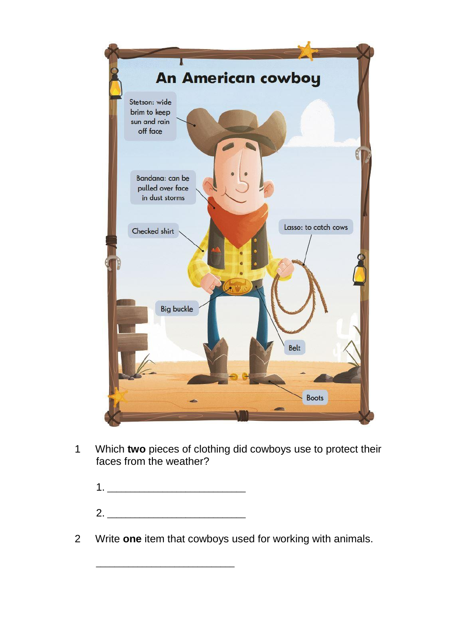

1 Which **two** pieces of clothing did cowboys use to protect their faces from the weather?

| 2. |  |  |
|----|--|--|

\_\_\_\_\_\_\_\_\_\_\_\_\_\_\_\_\_\_\_\_\_\_\_\_\_\_\_\_\_\_

2 Write **one** item that cowboys used for working with animals.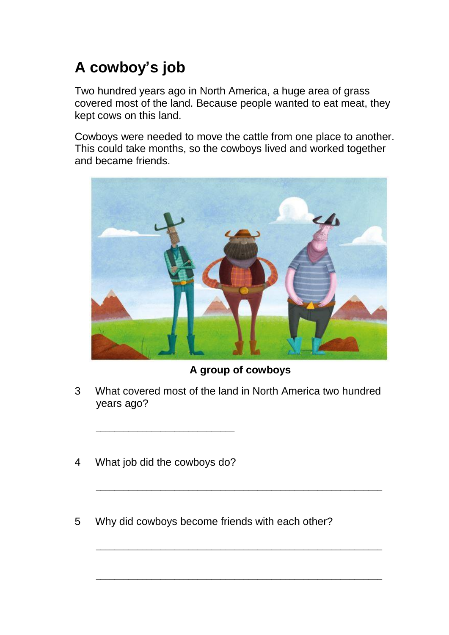## **A cowboy's job**

Two hundred years ago in North America, a huge area of grass covered most of the land. Because people wanted to eat meat, they kept cows on this land.

Cowboys were needed to move the cattle from one place to another. This could take months, so the cowboys lived and worked together and became friends.



## **A group of cowboys**

\_\_\_\_\_\_\_\_\_\_\_\_\_\_\_\_\_\_\_\_\_\_\_\_\_\_\_\_\_\_\_\_\_\_\_\_\_\_\_\_\_\_\_\_\_\_\_\_\_\_\_\_\_\_\_\_\_\_\_\_\_\_

\_\_\_\_\_\_\_\_\_\_\_\_\_\_\_\_\_\_\_\_\_\_\_\_\_\_\_\_\_\_\_\_\_\_\_\_\_\_\_\_\_\_\_\_\_\_\_\_\_\_\_\_\_\_\_\_\_\_\_\_\_\_

\_\_\_\_\_\_\_\_\_\_\_\_\_\_\_\_\_\_\_\_\_\_\_\_\_\_\_\_\_\_\_\_\_\_\_\_\_\_\_\_\_\_\_\_\_\_\_\_\_\_\_\_\_\_\_\_\_\_\_\_\_\_

- 3 What covered most of the land in North America two hundred years ago?
- 4 What job did the cowboys do?

\_\_\_\_\_\_\_\_\_\_\_\_\_\_\_\_\_\_\_\_\_\_\_\_\_\_\_\_\_\_

5 Why did cowboys become friends with each other?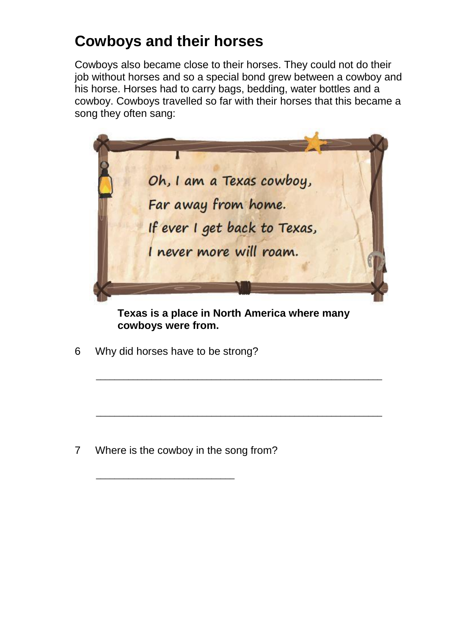## **Cowboys and their horses**

Cowboys also became close to their horses. They could not do their job without horses and so a special bond grew between a cowboy and his horse. Horses had to carry bags, bedding, water bottles and a cowboy. Cowboys travelled so far with their horses that this became a song they often sang:



**Texas is a place in North America where many cowboys were from.**

\_\_\_\_\_\_\_\_\_\_\_\_\_\_\_\_\_\_\_\_\_\_\_\_\_\_\_\_\_\_\_\_\_\_\_\_\_\_\_\_\_\_\_\_\_\_\_\_\_\_\_\_\_\_\_\_\_\_\_\_\_\_

\_\_\_\_\_\_\_\_\_\_\_\_\_\_\_\_\_\_\_\_\_\_\_\_\_\_\_\_\_\_\_\_\_\_\_\_\_\_\_\_\_\_\_\_\_\_\_\_\_\_\_\_\_\_\_\_\_\_\_\_\_\_

6 Why did horses have to be strong?

7 Where is the cowboy in the song from?

\_\_\_\_\_\_\_\_\_\_\_\_\_\_\_\_\_\_\_\_\_\_\_\_\_\_\_\_\_\_